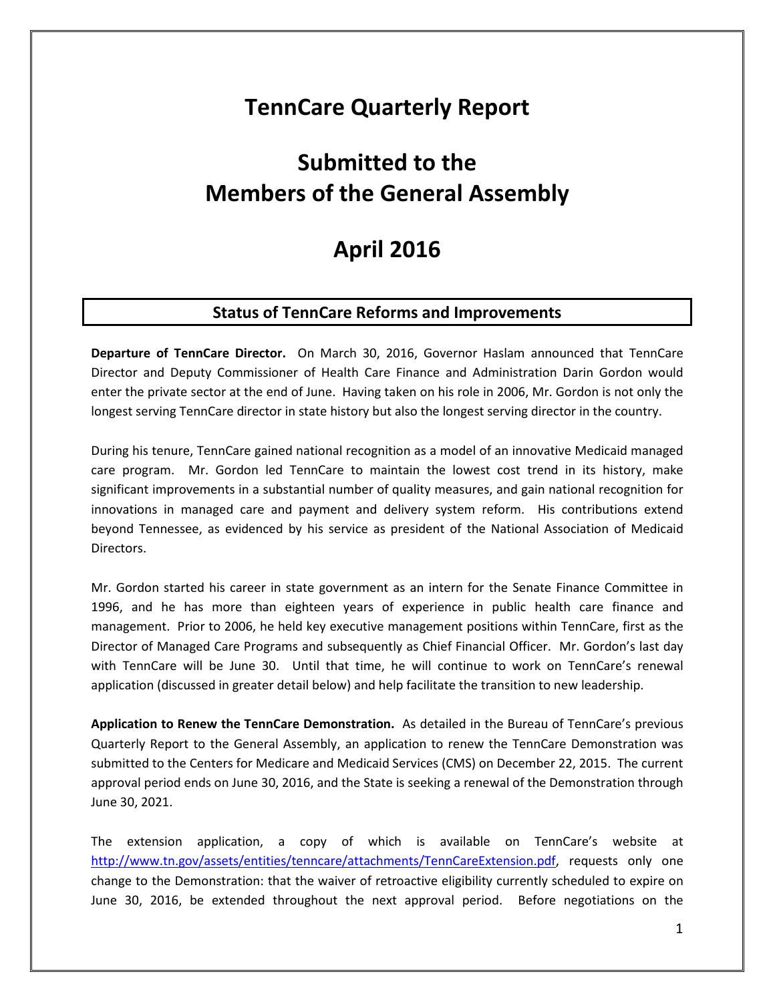# **TennCare Quarterly Report**

# **Submitted to the Members of the General Assembly**

# **April 2016**

### **Status of TennCare Reforms and Improvements**

**Departure of TennCare Director.** On March 30, 2016, Governor Haslam announced that TennCare Director and Deputy Commissioner of Health Care Finance and Administration Darin Gordon would enter the private sector at the end of June. Having taken on his role in 2006, Mr. Gordon is not only the longest serving TennCare director in state history but also the longest serving director in the country.

During his tenure, TennCare gained national recognition as a model of an innovative Medicaid managed care program. Mr. Gordon led TennCare to maintain the lowest cost trend in its history, make significant improvements in a substantial number of quality measures, and gain national recognition for innovations in managed care and payment and delivery system reform. His contributions extend beyond Tennessee, as evidenced by his service as president of the National Association of Medicaid Directors.

Mr. Gordon started his career in state government as an intern for the Senate Finance Committee in 1996, and he has more than eighteen years of experience in public health care finance and management. Prior to 2006, he held key executive management positions within TennCare, first as the Director of Managed Care Programs and subsequently as Chief Financial Officer. Mr. Gordon's last day with TennCare will be June 30. Until that time, he will continue to work on TennCare's renewal application (discussed in greater detail below) and help facilitate the transition to new leadership.

**Application to Renew the TennCare Demonstration.** As detailed in the Bureau of TennCare's previous Quarterly Report to the General Assembly, an application to renew the TennCare Demonstration was submitted to the Centers for Medicare and Medicaid Services (CMS) on December 22, 2015. The current approval period ends on June 30, 2016, and the State is seeking a renewal of the Demonstration through June 30, 2021.

The extension application, a copy of which is available on TennCare's website at [http://www.tn.gov/assets/entities/tenncare/attachments/TennCareExtension.pdf,](http://www.tn.gov/assets/entities/tenncare/attachments/TennCareExtension.pdf) requests only one change to the Demonstration: that the waiver of retroactive eligibility currently scheduled to expire on June 30, 2016, be extended throughout the next approval period. Before negotiations on the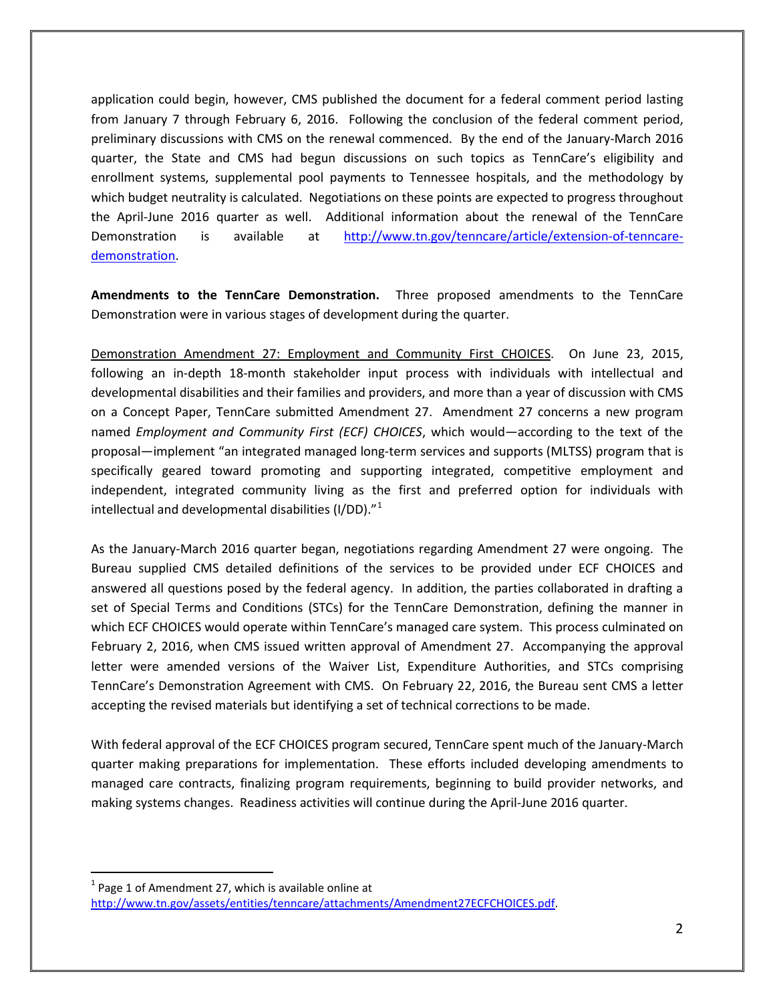application could begin, however, CMS published the document for a federal comment period lasting from January 7 through February 6, 2016. Following the conclusion of the federal comment period, preliminary discussions with CMS on the renewal commenced. By the end of the January-March 2016 quarter, the State and CMS had begun discussions on such topics as TennCare's eligibility and enrollment systems, supplemental pool payments to Tennessee hospitals, and the methodology by which budget neutrality is calculated. Negotiations on these points are expected to progress throughout the April-June 2016 quarter as well. Additional information about the renewal of the TennCare Demonstration is available at [http://www.tn.gov/tenncare/article/extension-of-tenncare](http://www.tn.gov/tenncare/article/extension-of-tenncare-demonstration)[demonstration.](http://www.tn.gov/tenncare/article/extension-of-tenncare-demonstration)

**Amendments to the TennCare Demonstration.** Three proposed amendments to the TennCare Demonstration were in various stages of development during the quarter.

Demonstration Amendment 27: Employment and Community First CHOICES. On June 23, 2015, following an in-depth 18-month stakeholder input process with individuals with intellectual and developmental disabilities and their families and providers, and more than a year of discussion with CMS on a Concept Paper, TennCare submitted Amendment 27. Amendment 27 concerns a new program named *Employment and Community First (ECF) CHOICES*, which would—according to the text of the proposal—implement "an integrated managed long-term services and supports (MLTSS) program that is specifically geared toward promoting and supporting integrated, competitive employment and independent, integrated community living as the first and preferred option for individuals with intellectual and developmental disabilities (I/DD)."[1](#page-1-0)

As the January-March 2016 quarter began, negotiations regarding Amendment 27 were ongoing. The Bureau supplied CMS detailed definitions of the services to be provided under ECF CHOICES and answered all questions posed by the federal agency. In addition, the parties collaborated in drafting a set of Special Terms and Conditions (STCs) for the TennCare Demonstration, defining the manner in which ECF CHOICES would operate within TennCare's managed care system. This process culminated on February 2, 2016, when CMS issued written approval of Amendment 27. Accompanying the approval letter were amended versions of the Waiver List, Expenditure Authorities, and STCs comprising TennCare's Demonstration Agreement with CMS. On February 22, 2016, the Bureau sent CMS a letter accepting the revised materials but identifying a set of technical corrections to be made.

With federal approval of the ECF CHOICES program secured, TennCare spent much of the January-March quarter making preparations for implementation. These efforts included developing amendments to managed care contracts, finalizing program requirements, beginning to build provider networks, and making systems changes. Readiness activities will continue during the April-June 2016 quarter.

<span id="page-1-0"></span> $1$  Page 1 of Amendment 27, which is available online at [http://www.tn.gov/assets/entities/tenncare/attachments/Amendment27ECFCHOICES.pdf.](http://www.tn.gov/assets/entities/tenncare/attachments/Amendment27ECFCHOICES.pdf)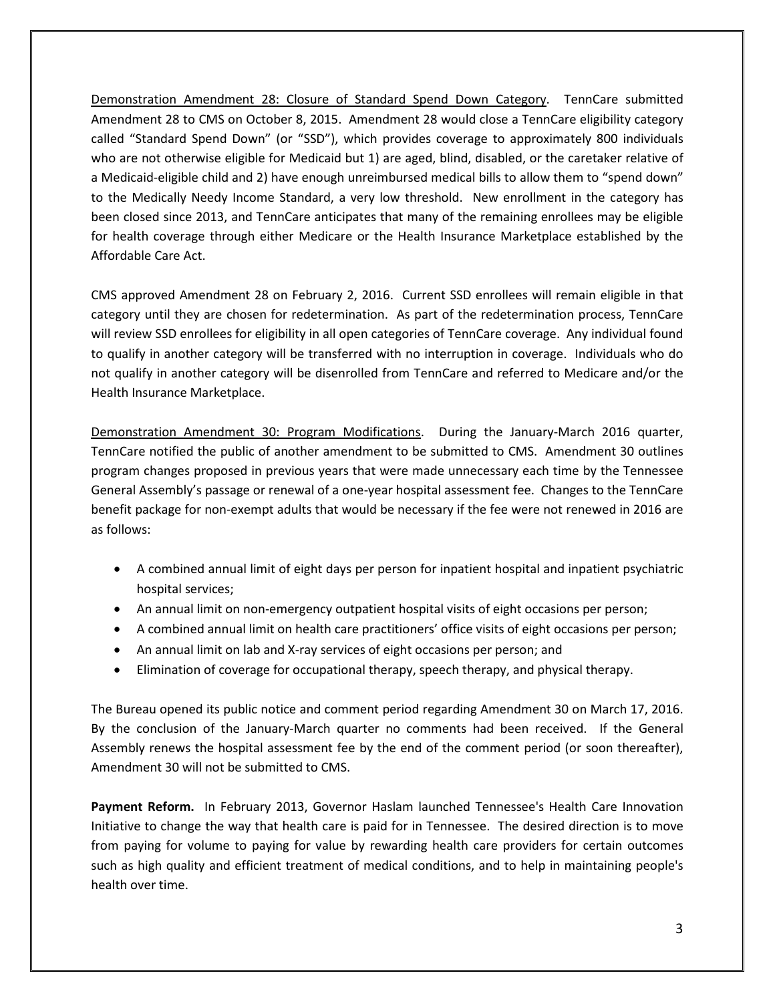Demonstration Amendment 28: Closure of Standard Spend Down Category. TennCare submitted Amendment 28 to CMS on October 8, 2015. Amendment 28 would close a TennCare eligibility category called "Standard Spend Down" (or "SSD"), which provides coverage to approximately 800 individuals who are not otherwise eligible for Medicaid but 1) are aged, blind, disabled, or the caretaker relative of a Medicaid-eligible child and 2) have enough unreimbursed medical bills to allow them to "spend down" to the Medically Needy Income Standard, a very low threshold. New enrollment in the category has been closed since 2013, and TennCare anticipates that many of the remaining enrollees may be eligible for health coverage through either Medicare or the Health Insurance Marketplace established by the Affordable Care Act.

CMS approved Amendment 28 on February 2, 2016. Current SSD enrollees will remain eligible in that category until they are chosen for redetermination. As part of the redetermination process, TennCare will review SSD enrollees for eligibility in all open categories of TennCare coverage. Any individual found to qualify in another category will be transferred with no interruption in coverage. Individuals who do not qualify in another category will be disenrolled from TennCare and referred to Medicare and/or the Health Insurance Marketplace.

Demonstration Amendment 30: Program Modifications. During the January-March 2016 quarter, TennCare notified the public of another amendment to be submitted to CMS. Amendment 30 outlines program changes proposed in previous years that were made unnecessary each time by the Tennessee General Assembly's passage or renewal of a one-year hospital assessment fee. Changes to the TennCare benefit package for non-exempt adults that would be necessary if the fee were not renewed in 2016 are as follows:

- A combined annual limit of eight days per person for inpatient hospital and inpatient psychiatric hospital services;
- An annual limit on non-emergency outpatient hospital visits of eight occasions per person;
- A combined annual limit on health care practitioners' office visits of eight occasions per person;
- An annual limit on lab and X-ray services of eight occasions per person; and
- Elimination of coverage for occupational therapy, speech therapy, and physical therapy.

The Bureau opened its public notice and comment period regarding Amendment 30 on March 17, 2016. By the conclusion of the January-March quarter no comments had been received. If the General Assembly renews the hospital assessment fee by the end of the comment period (or soon thereafter), Amendment 30 will not be submitted to CMS.

**Payment Reform.** In February 2013, Governor Haslam launched Tennessee's Health Care Innovation Initiative to change the way that health care is paid for in Tennessee. The desired direction is to move from paying for volume to paying for value by rewarding health care providers for certain outcomes such as high quality and efficient treatment of medical conditions, and to help in maintaining people's health over time.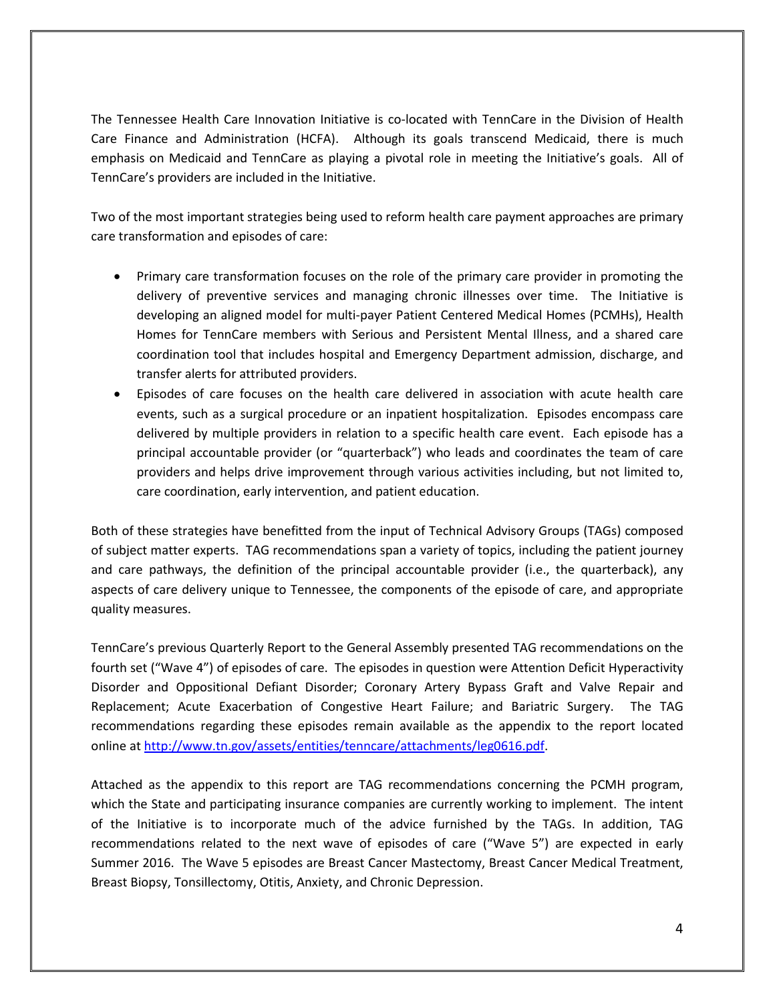The Tennessee Health Care Innovation Initiative is co-located with TennCare in the Division of Health Care Finance and Administration (HCFA). Although its goals transcend Medicaid, there is much emphasis on Medicaid and TennCare as playing a pivotal role in meeting the Initiative's goals. All of TennCare's providers are included in the Initiative.

Two of the most important strategies being used to reform health care payment approaches are primary care transformation and episodes of care:

- Primary care transformation focuses on the role of the primary care provider in promoting the delivery of preventive services and managing chronic illnesses over time. The Initiative is developing an aligned model for multi-payer Patient Centered Medical Homes (PCMHs), Health Homes for TennCare members with Serious and Persistent Mental Illness, and a shared care coordination tool that includes hospital and Emergency Department admission, discharge, and transfer alerts for attributed providers.
- Episodes of care focuses on the health care delivered in association with acute health care events, such as a surgical procedure or an inpatient hospitalization. Episodes encompass care delivered by multiple providers in relation to a specific health care event. Each episode has a principal accountable provider (or "quarterback") who leads and coordinates the team of care providers and helps drive improvement through various activities including, but not limited to, care coordination, early intervention, and patient education.

Both of these strategies have benefitted from the input of Technical Advisory Groups (TAGs) composed of subject matter experts. TAG recommendations span a variety of topics, including the patient journey and care pathways, the definition of the principal accountable provider (i.e., the quarterback), any aspects of care delivery unique to Tennessee, the components of the episode of care, and appropriate quality measures.

TennCare's previous Quarterly Report to the General Assembly presented TAG recommendations on the fourth set ("Wave 4") of episodes of care. The episodes in question were Attention Deficit Hyperactivity Disorder and Oppositional Defiant Disorder; Coronary Artery Bypass Graft and Valve Repair and Replacement; Acute Exacerbation of Congestive Heart Failure; and Bariatric Surgery. The TAG recommendations regarding these episodes remain available as the appendix to the report located online at [http://www.tn.gov/assets/entities/tenncare/attachments/leg0616.pdf.](http://www.tn.gov/assets/entities/tenncare/attachments/leg0616.pdf)

Attached as the appendix to this report are TAG recommendations concerning the PCMH program, which the State and participating insurance companies are currently working to implement. The intent of the Initiative is to incorporate much of the advice furnished by the TAGs. In addition, TAG recommendations related to the next wave of episodes of care ("Wave 5") are expected in early Summer 2016. The Wave 5 episodes are Breast Cancer Mastectomy, Breast Cancer Medical Treatment, Breast Biopsy, Tonsillectomy, Otitis, Anxiety, and Chronic Depression.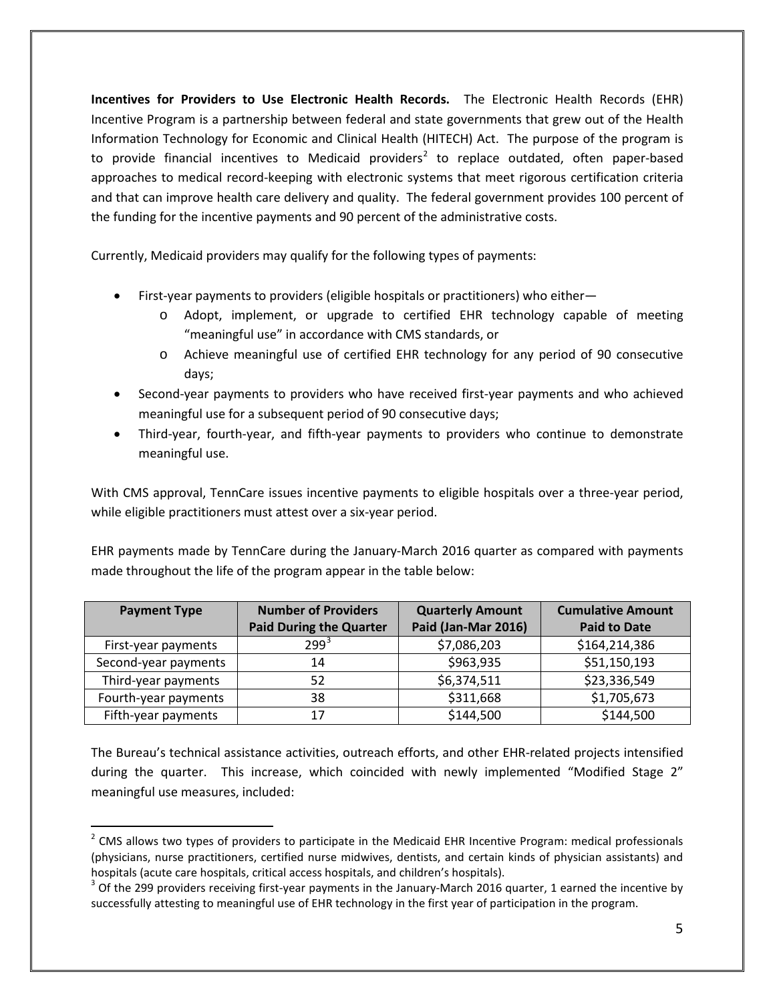**Incentives for Providers to Use Electronic Health Records.** The Electronic Health Records (EHR) Incentive Program is a partnership between federal and state governments that grew out of the Health Information Technology for Economic and Clinical Health (HITECH) Act. The purpose of the program is to provide financial incentives to Medicaid providers<sup>[2](#page-4-0)</sup> to replace outdated, often paper-based approaches to medical record-keeping with electronic systems that meet rigorous certification criteria and that can improve health care delivery and quality. The federal government provides 100 percent of the funding for the incentive payments and 90 percent of the administrative costs.

Currently, Medicaid providers may qualify for the following types of payments:

- First-year payments to providers (eligible hospitals or practitioners) who either
	- o Adopt, implement, or upgrade to certified EHR technology capable of meeting "meaningful use" in accordance with CMS standards, or
	- o Achieve meaningful use of certified EHR technology for any period of 90 consecutive days;
- Second-year payments to providers who have received first-year payments and who achieved meaningful use for a subsequent period of 90 consecutive days;
- Third-year, fourth-year, and fifth-year payments to providers who continue to demonstrate meaningful use.

With CMS approval, TennCare issues incentive payments to eligible hospitals over a three-year period, while eligible practitioners must attest over a six-year period.

EHR payments made by TennCare during the January-March 2016 quarter as compared with payments made throughout the life of the program appear in the table below:

| <b>Payment Type</b>  | <b>Number of Providers</b>     | <b>Quarterly Amount</b> | <b>Cumulative Amount</b> |
|----------------------|--------------------------------|-------------------------|--------------------------|
|                      | <b>Paid During the Quarter</b> | Paid (Jan-Mar 2016)     | <b>Paid to Date</b>      |
| First-year payments  | $299^{3}$                      | \$7,086,203             | \$164,214,386            |
| Second-year payments | 14                             | \$963,935               | \$51,150,193             |
| Third-year payments  | 52                             | \$6,374,511             | \$23,336,549             |
| Fourth-year payments | 38                             | \$311,668               | \$1,705,673              |
| Fifth-year payments  | 17                             | \$144,500               | \$144,500                |

The Bureau's technical assistance activities, outreach efforts, and other EHR-related projects intensified during the quarter. This increase, which coincided with newly implemented "Modified Stage 2" meaningful use measures, included:

<span id="page-4-0"></span> $2$  CMS allows two types of providers to participate in the Medicaid EHR Incentive Program: medical professionals (physicians, nurse practitioners, certified nurse midwives, dentists, and certain kinds of physician assistants) and hospitals (acute care hospitals, critical access hospitals, and children's hospitals).<br><sup>3</sup> Of the 299 providers receiving first-year payments in the January-March 2016 quarter, 1 earned the incentive by

<span id="page-4-1"></span>successfully attesting to meaningful use of EHR technology in the first year of participation in the program.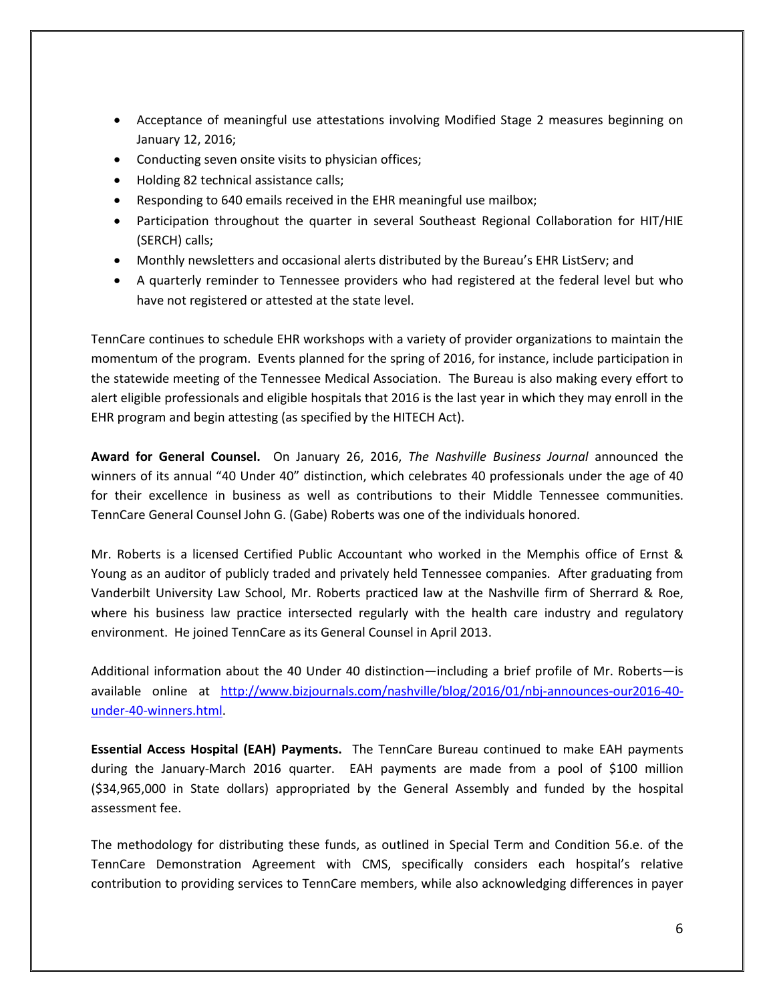- Acceptance of meaningful use attestations involving Modified Stage 2 measures beginning on January 12, 2016;
- Conducting seven onsite visits to physician offices;
- Holding 82 technical assistance calls;
- Responding to 640 emails received in the EHR meaningful use mailbox;
- Participation throughout the quarter in several Southeast Regional Collaboration for HIT/HIE (SERCH) calls;
- Monthly newsletters and occasional alerts distributed by the Bureau's EHR ListServ; and
- A quarterly reminder to Tennessee providers who had registered at the federal level but who have not registered or attested at the state level.

TennCare continues to schedule EHR workshops with a variety of provider organizations to maintain the momentum of the program. Events planned for the spring of 2016, for instance, include participation in the statewide meeting of the Tennessee Medical Association. The Bureau is also making every effort to alert eligible professionals and eligible hospitals that 2016 is the last year in which they may enroll in the EHR program and begin attesting (as specified by the HITECH Act).

**Award for General Counsel.** On January 26, 2016, *The Nashville Business Journal* announced the winners of its annual "40 Under 40" distinction, which celebrates 40 professionals under the age of 40 for their excellence in business as well as contributions to their Middle Tennessee communities. TennCare General Counsel John G. (Gabe) Roberts was one of the individuals honored.

Mr. Roberts is a licensed Certified Public Accountant who worked in the Memphis office of Ernst & Young as an auditor of publicly traded and privately held Tennessee companies. After graduating from Vanderbilt University Law School, Mr. Roberts practiced law at the Nashville firm of Sherrard & Roe, where his business law practice intersected regularly with the health care industry and regulatory environment. He joined TennCare as its General Counsel in April 2013.

Additional information about the 40 Under 40 distinction—including a brief profile of Mr. Roberts—is available online at [http://www.bizjournals.com/nashville/blog/2016/01/nbj-announces-our2016-40](http://www.bizjournals.com/nashville/blog/2016/01/nbj-announces-our2016-40-under-40-winners.html) [under-40-winners.html.](http://www.bizjournals.com/nashville/blog/2016/01/nbj-announces-our2016-40-under-40-winners.html)

**Essential Access Hospital (EAH) Payments.** The TennCare Bureau continued to make EAH payments during the January-March 2016 quarter. EAH payments are made from a pool of \$100 million (\$34,965,000 in State dollars) appropriated by the General Assembly and funded by the hospital assessment fee.

The methodology for distributing these funds, as outlined in Special Term and Condition 56.e. of the TennCare Demonstration Agreement with CMS, specifically considers each hospital's relative contribution to providing services to TennCare members, while also acknowledging differences in payer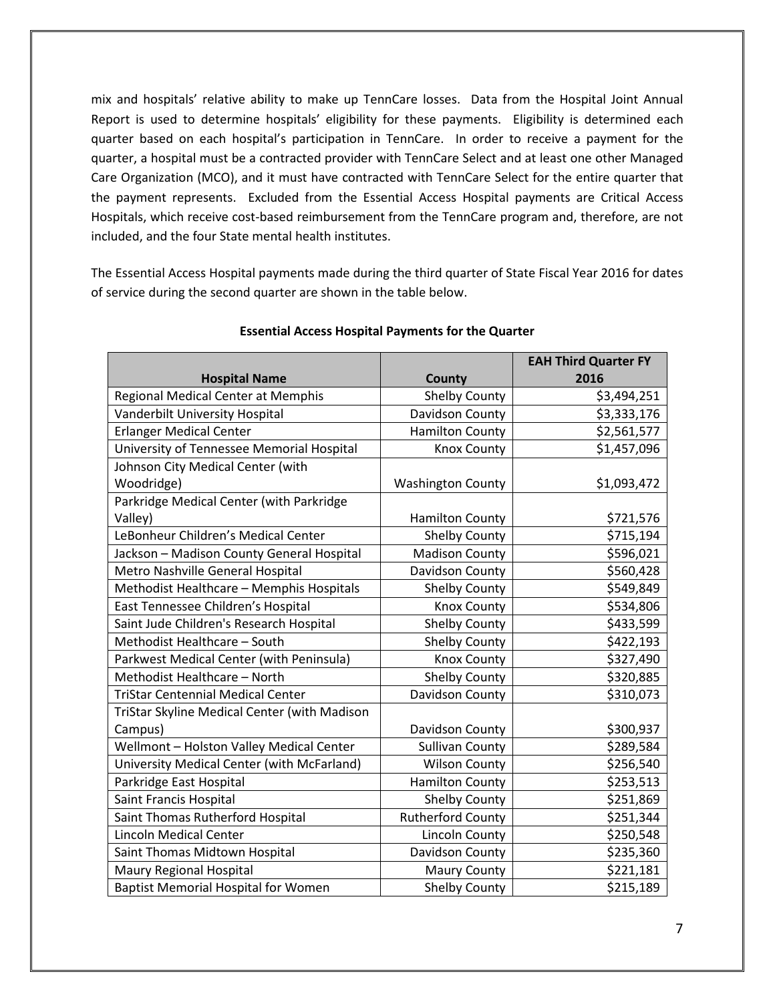mix and hospitals' relative ability to make up TennCare losses. Data from the Hospital Joint Annual Report is used to determine hospitals' eligibility for these payments. Eligibility is determined each quarter based on each hospital's participation in TennCare. In order to receive a payment for the quarter, a hospital must be a contracted provider with TennCare Select and at least one other Managed Care Organization (MCO), and it must have contracted with TennCare Select for the entire quarter that the payment represents. Excluded from the Essential Access Hospital payments are Critical Access Hospitals, which receive cost-based reimbursement from the TennCare program and, therefore, are not included, and the four State mental health institutes.

The Essential Access Hospital payments made during the third quarter of State Fiscal Year 2016 for dates of service during the second quarter are shown in the table below.

|                                              |                          | <b>EAH Third Quarter FY</b> |
|----------------------------------------------|--------------------------|-----------------------------|
| <b>Hospital Name</b>                         | County                   | 2016                        |
| Regional Medical Center at Memphis           | Shelby County            | \$3,494,251                 |
| Vanderbilt University Hospital               | Davidson County          | \$3,333,176                 |
| <b>Erlanger Medical Center</b>               | <b>Hamilton County</b>   | \$2,561,577                 |
| University of Tennessee Memorial Hospital    | <b>Knox County</b>       | \$1,457,096                 |
| Johnson City Medical Center (with            |                          |                             |
| Woodridge)                                   | <b>Washington County</b> | \$1,093,472                 |
| Parkridge Medical Center (with Parkridge     |                          |                             |
| Valley)                                      | <b>Hamilton County</b>   | \$721,576                   |
| LeBonheur Children's Medical Center          | <b>Shelby County</b>     | \$715,194                   |
| Jackson - Madison County General Hospital    | <b>Madison County</b>    | \$596,021                   |
| Metro Nashville General Hospital             | Davidson County          | \$560,428                   |
| Methodist Healthcare - Memphis Hospitals     | <b>Shelby County</b>     | \$549,849                   |
| East Tennessee Children's Hospital           | <b>Knox County</b>       | \$534,806                   |
| Saint Jude Children's Research Hospital      | <b>Shelby County</b>     | \$433,599                   |
| Methodist Healthcare - South                 | Shelby County            | \$422,193                   |
| Parkwest Medical Center (with Peninsula)     | <b>Knox County</b>       | \$327,490                   |
| Methodist Healthcare - North                 | <b>Shelby County</b>     | \$320,885                   |
| <b>TriStar Centennial Medical Center</b>     | Davidson County          | \$310,073                   |
| TriStar Skyline Medical Center (with Madison |                          |                             |
| Campus)                                      | Davidson County          | \$300,937                   |
| Wellmont - Holston Valley Medical Center     | <b>Sullivan County</b>   | \$289,584                   |
| University Medical Center (with McFarland)   | <b>Wilson County</b>     | \$256,540                   |
| Parkridge East Hospital                      | <b>Hamilton County</b>   | \$253,513                   |
| Saint Francis Hospital                       | <b>Shelby County</b>     | \$251,869                   |
| Saint Thomas Rutherford Hospital             | <b>Rutherford County</b> | \$251,344                   |
| <b>Lincoln Medical Center</b>                | Lincoln County           | \$250,548                   |
| Saint Thomas Midtown Hospital                | Davidson County          | \$235,360                   |
| Maury Regional Hospital                      | <b>Maury County</b>      | \$221,181                   |
| <b>Baptist Memorial Hospital for Women</b>   | <b>Shelby County</b>     | \$215,189                   |

#### **Essential Access Hospital Payments for the Quarter**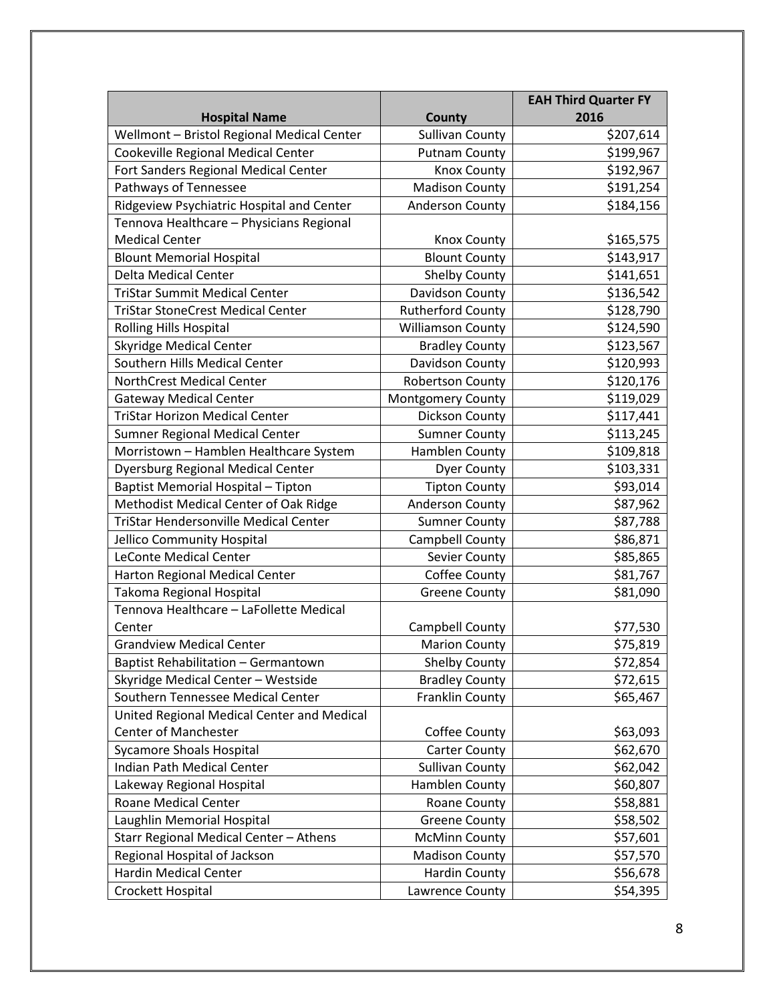|                                            |                          | <b>EAH Third Quarter FY</b> |
|--------------------------------------------|--------------------------|-----------------------------|
| <b>Hospital Name</b>                       | <b>County</b>            | 2016                        |
| Wellmont - Bristol Regional Medical Center | <b>Sullivan County</b>   | \$207,614                   |
| Cookeville Regional Medical Center         | <b>Putnam County</b>     | \$199,967                   |
| Fort Sanders Regional Medical Center       | <b>Knox County</b>       | \$192,967                   |
| Pathways of Tennessee                      | <b>Madison County</b>    | \$191,254                   |
| Ridgeview Psychiatric Hospital and Center  | <b>Anderson County</b>   | \$184,156                   |
| Tennova Healthcare - Physicians Regional   |                          |                             |
| <b>Medical Center</b>                      | <b>Knox County</b>       | \$165,575                   |
| <b>Blount Memorial Hospital</b>            | <b>Blount County</b>     | \$143,917                   |
| <b>Delta Medical Center</b>                | <b>Shelby County</b>     | \$141,651                   |
| <b>TriStar Summit Medical Center</b>       | Davidson County          | \$136,542                   |
| <b>TriStar StoneCrest Medical Center</b>   | <b>Rutherford County</b> | \$128,790                   |
| Rolling Hills Hospital                     | <b>Williamson County</b> | \$124,590                   |
| <b>Skyridge Medical Center</b>             | <b>Bradley County</b>    | \$123,567                   |
| Southern Hills Medical Center              | Davidson County          | \$120,993                   |
| NorthCrest Medical Center                  | <b>Robertson County</b>  | \$120,176                   |
| <b>Gateway Medical Center</b>              | Montgomery County        | \$119,029                   |
| <b>TriStar Horizon Medical Center</b>      | Dickson County           | \$117,441                   |
| Sumner Regional Medical Center             | <b>Sumner County</b>     | \$113,245                   |
| Morristown - Hamblen Healthcare System     | Hamblen County           | \$109,818                   |
| <b>Dyersburg Regional Medical Center</b>   | <b>Dyer County</b>       | \$103,331                   |
| Baptist Memorial Hospital - Tipton         | <b>Tipton County</b>     | \$93,014                    |
| Methodist Medical Center of Oak Ridge      | Anderson County          | \$87,962                    |
| TriStar Hendersonville Medical Center      | <b>Sumner County</b>     | \$87,788                    |
| Jellico Community Hospital                 | Campbell County          | \$86,871                    |
| <b>LeConte Medical Center</b>              | Sevier County            | \$85,865                    |
| Harton Regional Medical Center             | Coffee County            | \$81,767                    |
| Takoma Regional Hospital                   | <b>Greene County</b>     | \$81,090                    |
| Tennova Healthcare - LaFollette Medical    |                          |                             |
| Center                                     | Campbell County          | \$77,530                    |
| <b>Grandview Medical Center</b>            | <b>Marion County</b>     | \$75,819                    |
| Baptist Rehabilitation - Germantown        | <b>Shelby County</b>     | \$72,854                    |
| Skyridge Medical Center - Westside         | <b>Bradley County</b>    | \$72,615                    |
| Southern Tennessee Medical Center          | Franklin County          | \$65,467                    |
| United Regional Medical Center and Medical |                          |                             |
| <b>Center of Manchester</b>                | Coffee County            | \$63,093                    |
| <b>Sycamore Shoals Hospital</b>            | <b>Carter County</b>     | \$62,670                    |
| Indian Path Medical Center                 | <b>Sullivan County</b>   | \$62,042                    |
| Lakeway Regional Hospital                  | Hamblen County           | \$60,807                    |
| Roane Medical Center                       | Roane County             | \$58,881                    |
| Laughlin Memorial Hospital                 | <b>Greene County</b>     | \$58,502                    |
| Starr Regional Medical Center - Athens     | <b>McMinn County</b>     | \$57,601                    |
| Regional Hospital of Jackson               | <b>Madison County</b>    | \$57,570                    |
| <b>Hardin Medical Center</b>               | <b>Hardin County</b>     | \$56,678                    |
| Crockett Hospital                          | Lawrence County          | \$54,395                    |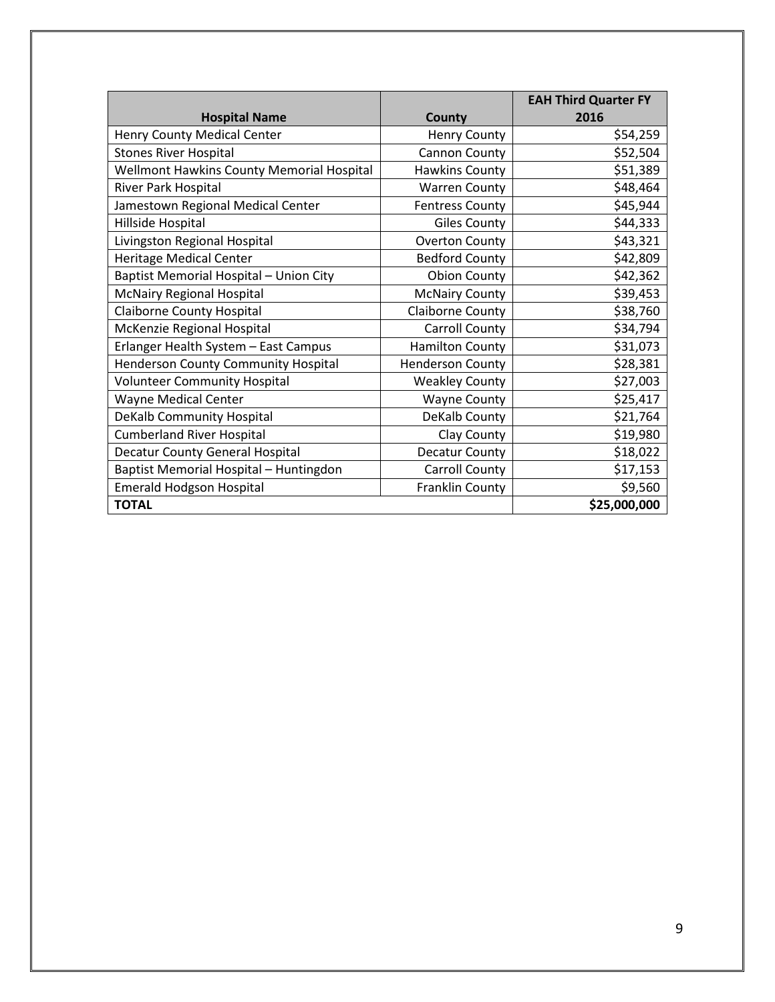|                                                  |                         | <b>EAH Third Quarter FY</b> |
|--------------------------------------------------|-------------------------|-----------------------------|
| <b>Hospital Name</b>                             | County                  | 2016                        |
| Henry County Medical Center                      | <b>Henry County</b>     | \$54,259                    |
| <b>Stones River Hospital</b>                     | Cannon County           | \$52,504                    |
| <b>Wellmont Hawkins County Memorial Hospital</b> | Hawkins County          | \$51,389                    |
| River Park Hospital                              | <b>Warren County</b>    | \$48,464                    |
| Jamestown Regional Medical Center                | <b>Fentress County</b>  | \$45,944                    |
| Hillside Hospital                                | <b>Giles County</b>     | \$44,333                    |
| Livingston Regional Hospital                     | <b>Overton County</b>   | \$43,321                    |
| <b>Heritage Medical Center</b>                   | <b>Bedford County</b>   | \$42,809                    |
| Baptist Memorial Hospital - Union City           | <b>Obion County</b>     | \$42,362                    |
| <b>McNairy Regional Hospital</b>                 | <b>McNairy County</b>   | \$39,453                    |
| <b>Claiborne County Hospital</b>                 | Claiborne County        | \$38,760                    |
| McKenzie Regional Hospital                       | Carroll County          | \$34,794                    |
| Erlanger Health System - East Campus             | <b>Hamilton County</b>  | \$31,073                    |
| Henderson County Community Hospital              | <b>Henderson County</b> | \$28,381                    |
| <b>Volunteer Community Hospital</b>              | <b>Weakley County</b>   | \$27,003                    |
| <b>Wayne Medical Center</b>                      | <b>Wayne County</b>     | \$25,417                    |
| <b>DeKalb Community Hospital</b>                 | DeKalb County           | \$21,764                    |
| <b>Cumberland River Hospital</b>                 | Clay County             | \$19,980                    |
| <b>Decatur County General Hospital</b>           | Decatur County          | \$18,022                    |
| Baptist Memorial Hospital - Huntingdon           | Carroll County          | \$17,153                    |
| Emerald Hodgson Hospital                         | Franklin County         | \$9,560                     |
| <b>TOTAL</b>                                     |                         | \$25,000,000                |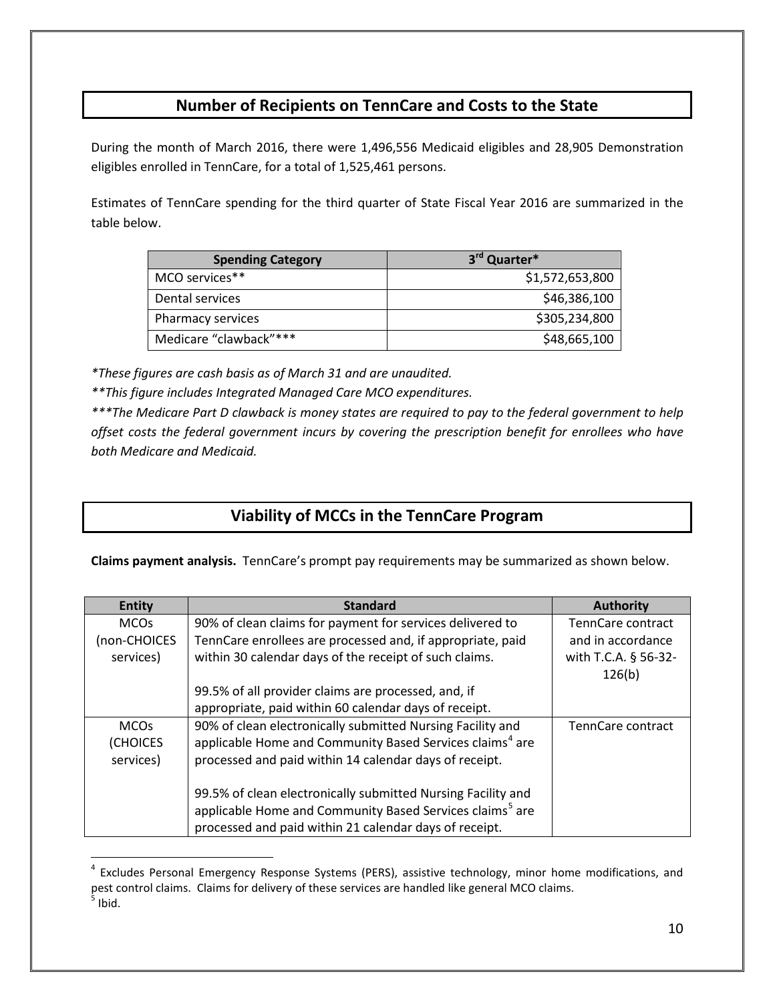## **Number of Recipients on TennCare and Costs to the State**

During the month of March 2016, there were 1,496,556 Medicaid eligibles and 28,905 Demonstration eligibles enrolled in TennCare, for a total of 1,525,461 persons.

Estimates of TennCare spending for the third quarter of State Fiscal Year 2016 are summarized in the table below.

| <b>Spending Category</b> | 3rd Quarter*    |
|--------------------------|-----------------|
| MCO services**           | \$1,572,653,800 |
| Dental services          | \$46,386,100    |
| Pharmacy services        | \$305,234,800   |
| Medicare "clawback"***   | \$48,665,100    |

*\*These figures are cash basis as of March 31 and are unaudited.*

 $\overline{a}$ 

*\*\*This figure includes Integrated Managed Care MCO expenditures.*

*\*\*\*The Medicare Part D clawback is money states are required to pay to the federal government to help offset costs the federal government incurs by covering the prescription benefit for enrollees who have both Medicare and Medicaid.*

## **Viability of MCCs in the TennCare Program**

**Claims payment analysis.** TennCare's prompt pay requirements may be summarized as shown below.

| <b>Entity</b> | <b>Standard</b>                                                      | <b>Authority</b>     |
|---------------|----------------------------------------------------------------------|----------------------|
| <b>MCOs</b>   | 90% of clean claims for payment for services delivered to            | TennCare contract    |
| (non-CHOICES  | TennCare enrollees are processed and, if appropriate, paid           | and in accordance    |
| services)     | within 30 calendar days of the receipt of such claims.               | with T.C.A. § 56-32- |
|               |                                                                      | 126(b)               |
|               | 99.5% of all provider claims are processed, and, if                  |                      |
|               | appropriate, paid within 60 calendar days of receipt.                |                      |
| <b>MCOs</b>   | 90% of clean electronically submitted Nursing Facility and           | TennCare contract    |
| (CHOICES      | applicable Home and Community Based Services claims <sup>4</sup> are |                      |
| services)     | processed and paid within 14 calendar days of receipt.               |                      |
|               |                                                                      |                      |
|               | 99.5% of clean electronically submitted Nursing Facility and         |                      |
|               | applicable Home and Community Based Services claims <sup>5</sup> are |                      |
|               | processed and paid within 21 calendar days of receipt.               |                      |

<span id="page-9-1"></span><span id="page-9-0"></span><sup>&</sup>lt;sup>4</sup> Excludes Personal Emergency Response Systems (PERS), assistive technology, minor home modifications, and pest control claims. Claims for delivery of these services are handled like general MCO claims.  $<sup>5</sup>$  Ibid.</sup>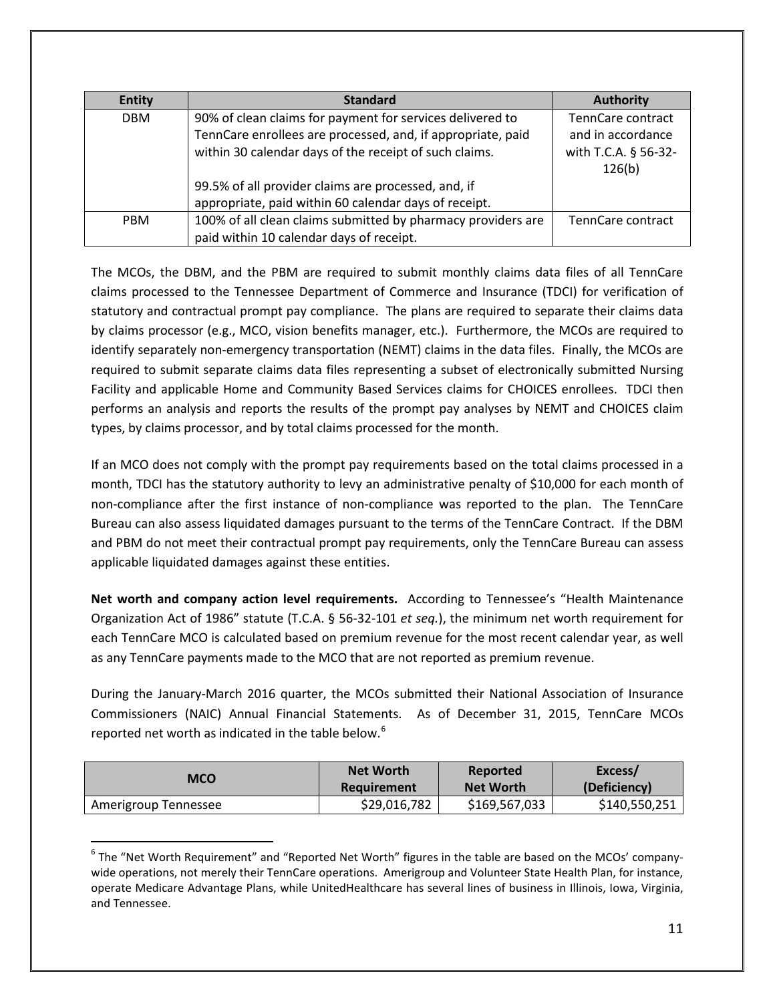| <b>Entity</b> | <b>Standard</b>                                              | <b>Authority</b>     |
|---------------|--------------------------------------------------------------|----------------------|
| <b>DBM</b>    | 90% of clean claims for payment for services delivered to    | TennCare contract    |
|               | TennCare enrollees are processed, and, if appropriate, paid  | and in accordance    |
|               | within 30 calendar days of the receipt of such claims.       | with T.C.A. § 56-32- |
|               |                                                              | 126(b)               |
|               | 99.5% of all provider claims are processed, and, if          |                      |
|               | appropriate, paid within 60 calendar days of receipt.        |                      |
| <b>PBM</b>    | 100% of all clean claims submitted by pharmacy providers are | TennCare contract    |
|               | paid within 10 calendar days of receipt.                     |                      |

The MCOs, the DBM, and the PBM are required to submit monthly claims data files of all TennCare claims processed to the Tennessee Department of Commerce and Insurance (TDCI) for verification of statutory and contractual prompt pay compliance. The plans are required to separate their claims data by claims processor (e.g., MCO, vision benefits manager, etc.). Furthermore, the MCOs are required to identify separately non-emergency transportation (NEMT) claims in the data files. Finally, the MCOs are required to submit separate claims data files representing a subset of electronically submitted Nursing Facility and applicable Home and Community Based Services claims for CHOICES enrollees. TDCI then performs an analysis and reports the results of the prompt pay analyses by NEMT and CHOICES claim types, by claims processor, and by total claims processed for the month.

If an MCO does not comply with the prompt pay requirements based on the total claims processed in a month, TDCI has the statutory authority to levy an administrative penalty of \$10,000 for each month of non-compliance after the first instance of non-compliance was reported to the plan. The TennCare Bureau can also assess liquidated damages pursuant to the terms of the TennCare Contract. If the DBM and PBM do not meet their contractual prompt pay requirements, only the TennCare Bureau can assess applicable liquidated damages against these entities.

**Net worth and company action level requirements.** According to Tennessee's "Health Maintenance Organization Act of 1986" statute (T.C.A. § 56-32-101 *et seq.*), the minimum net worth requirement for each TennCare MCO is calculated based on premium revenue for the most recent calendar year, as well as any TennCare payments made to the MCO that are not reported as premium revenue.

During the January-March 2016 quarter, the MCOs submitted their National Association of Insurance Commissioners (NAIC) Annual Financial Statements. As of December 31, 2015, TennCare MCOs reported net worth as indicated in the table below.<sup>[6](#page-10-0)</sup>

| MCO                  | <b>Net Worth</b> | Reported         | Excess/       |
|----------------------|------------------|------------------|---------------|
|                      | Requirement      | <b>Net Worth</b> | (Deficiency)  |
| Amerigroup Tennessee | \$29,016,782     | \$169,567,033    | \$140,550,251 |

<span id="page-10-0"></span> $6$  The "Net Worth Requirement" and "Reported Net Worth" figures in the table are based on the MCOs' companywide operations, not merely their TennCare operations. Amerigroup and Volunteer State Health Plan, for instance, operate Medicare Advantage Plans, while UnitedHealthcare has several lines of business in Illinois, Iowa, Virginia, and Tennessee.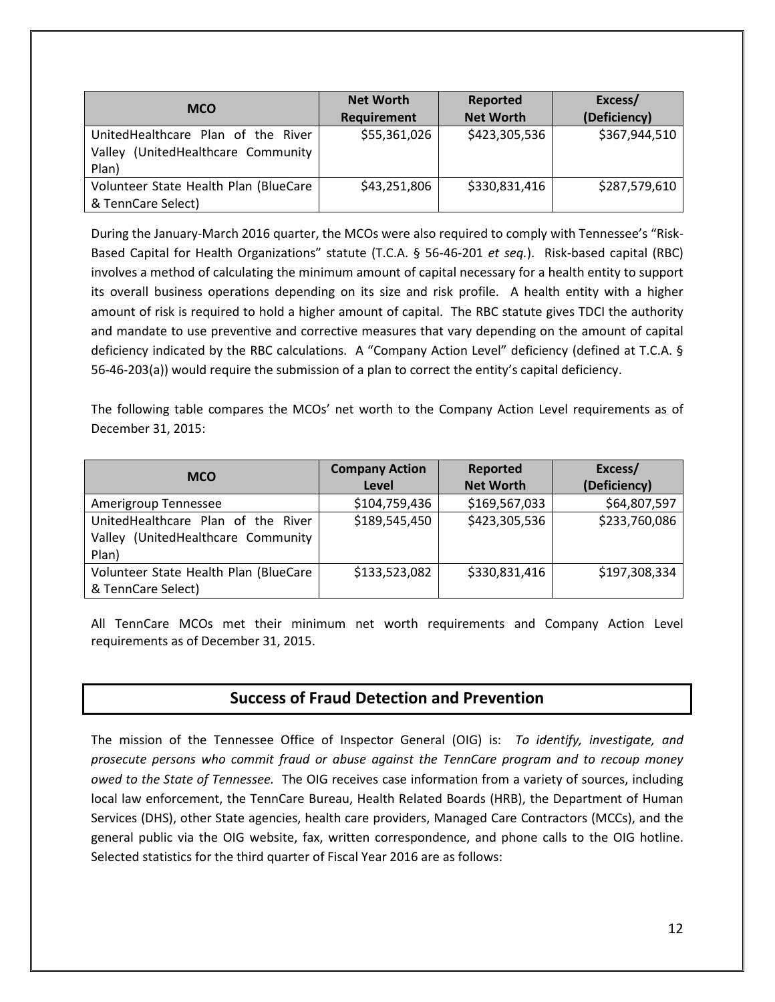| <b>MCO</b>                                                                           | <b>Net Worth</b><br>Requirement | Reported<br><b>Net Worth</b> | Excess/<br>(Deficiency) |
|--------------------------------------------------------------------------------------|---------------------------------|------------------------------|-------------------------|
| UnitedHealthcare Plan of the River<br>(UnitedHealthcare Community<br>Valley<br>Plan) | \$55,361,026                    | \$423,305,536                | \$367,944,510           |
| Volunteer State Health Plan (BlueCare<br>& TennCare Select)                          | \$43,251,806                    | \$330,831,416                | \$287,579,610           |

During the January-March 2016 quarter, the MCOs were also required to comply with Tennessee's "Risk-Based Capital for Health Organizations" statute (T.C.A. § 56-46-201 *et seq.*). Risk-based capital (RBC) involves a method of calculating the minimum amount of capital necessary for a health entity to support its overall business operations depending on its size and risk profile. A health entity with a higher amount of risk is required to hold a higher amount of capital. The RBC statute gives TDCI the authority and mandate to use preventive and corrective measures that vary depending on the amount of capital deficiency indicated by the RBC calculations. A "Company Action Level" deficiency (defined at T.C.A. § 56-46-203(a)) would require the submission of a plan to correct the entity's capital deficiency.

The following table compares the MCOs' net worth to the Company Action Level requirements as of December 31, 2015:

| <b>MCO</b>                            | <b>Company Action</b> | Reported         | Excess/       |
|---------------------------------------|-----------------------|------------------|---------------|
|                                       | Level                 | <b>Net Worth</b> | (Deficiency)  |
| Amerigroup Tennessee                  | \$104,759,436         | \$169,567,033    | \$64,807,597  |
| UnitedHealthcare Plan of the River    | \$189,545,450         | \$423,305,536    | \$233,760,086 |
| Valley (UnitedHealthcare Community    |                       |                  |               |
| Plan)                                 |                       |                  |               |
| Volunteer State Health Plan (BlueCare | \$133,523,082         | \$330,831,416    | \$197,308,334 |
| & TennCare Select)                    |                       |                  |               |

All TennCare MCOs met their minimum net worth requirements and Company Action Level requirements as of December 31, 2015.

## **Success of Fraud Detection and Prevention**

The mission of the Tennessee Office of Inspector General (OIG) is: *To identify, investigate, and prosecute persons who commit fraud or abuse against the TennCare program and to recoup money owed to the State of Tennessee.* The OIG receives case information from a variety of sources, including local law enforcement, the TennCare Bureau, Health Related Boards (HRB), the Department of Human Services (DHS), other State agencies, health care providers, Managed Care Contractors (MCCs), and the general public via the OIG website, fax, written correspondence, and phone calls to the OIG hotline. Selected statistics for the third quarter of Fiscal Year 2016 are as follows: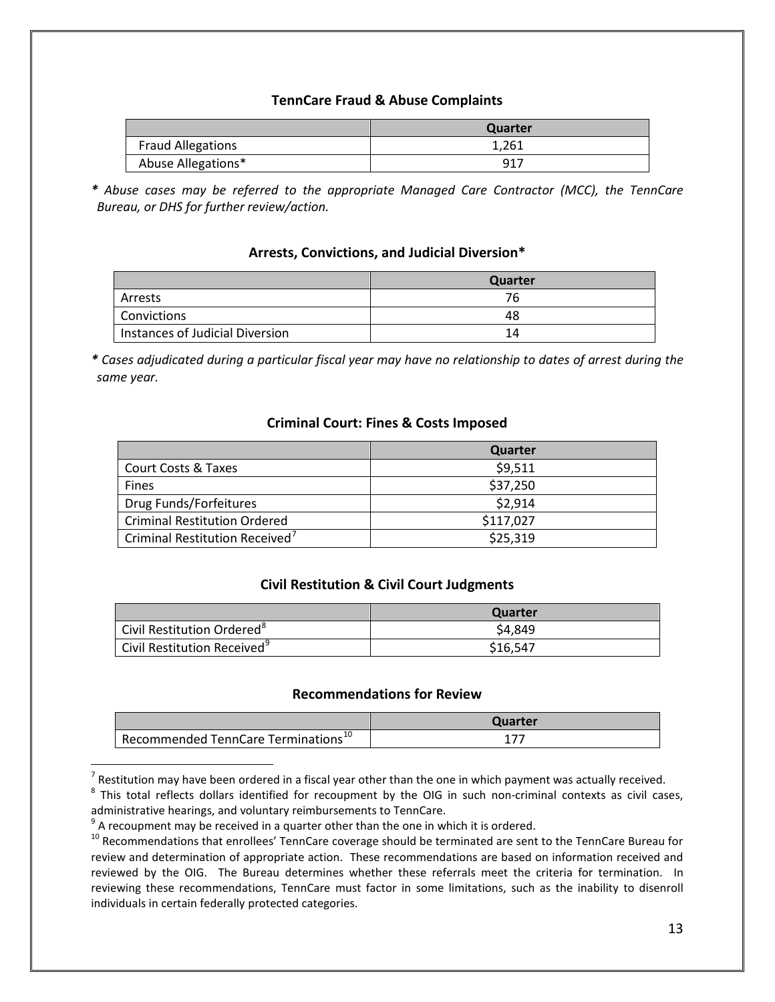#### **TennCare Fraud & Abuse Complaints**

|                          | Quarter |
|--------------------------|---------|
| <b>Fraud Allegations</b> | 1,261   |
| Abuse Allegations*       | 917     |

*\* Abuse cases may be referred to the appropriate Managed Care Contractor (MCC), the TennCare Bureau, or DHS for further review/action.*

#### **Arrests, Convictions, and Judicial Diversion\***

|                                 | <b>Quarter</b> |
|---------------------------------|----------------|
| Arrests                         | 76.            |
| <b>Convictions</b>              | 48             |
| Instances of Judicial Diversion | 14             |

*\* Cases adjudicated during a particular fiscal year may have no relationship to dates of arrest during the same year.*

#### **Criminal Court: Fines & Costs Imposed**

|                                            | Quarter   |
|--------------------------------------------|-----------|
| <b>Court Costs &amp; Taxes</b>             | \$9,511   |
| <b>Fines</b>                               | \$37,250  |
| Drug Funds/Forfeitures                     | \$2,914   |
| Criminal Restitution Ordered               | \$117,027 |
| Criminal Restitution Received <sup>7</sup> | \$25,319  |

#### **Civil Restitution & Civil Court Judgments**

|                                         | Quarter  |
|-----------------------------------------|----------|
| Civil Restitution Ordered <sup>8</sup>  | \$4,849  |
| Civil Restitution Received <sup>9</sup> | \$16.547 |

#### **Recommendations for Review**

|                                                              | Quarter |
|--------------------------------------------------------------|---------|
| <sup>1</sup> Recommended TennCare Terminations <sup>10</sup> |         |

 $<sup>7</sup>$  Restitution may have been ordered in a fiscal year other than the one in which payment was actually received.</sup>

<span id="page-12-1"></span><span id="page-12-0"></span> $8$  This total reflects dollars identified for recoupment by the OIG in such non-criminal contexts as civil cases, administrative hearings, and voluntary reimbursements to TennCare.

 $9^9$  A recoupment may be received in a quarter other than the one in which it is ordered.

<span id="page-12-3"></span><span id="page-12-2"></span><sup>&</sup>lt;sup>10</sup> Recommendations that enrollees' TennCare coverage should be terminated are sent to the TennCare Bureau for review and determination of appropriate action. These recommendations are based on information received and reviewed by the OIG. The Bureau determines whether these referrals meet the criteria for termination. In reviewing these recommendations, TennCare must factor in some limitations, such as the inability to disenroll individuals in certain federally protected categories.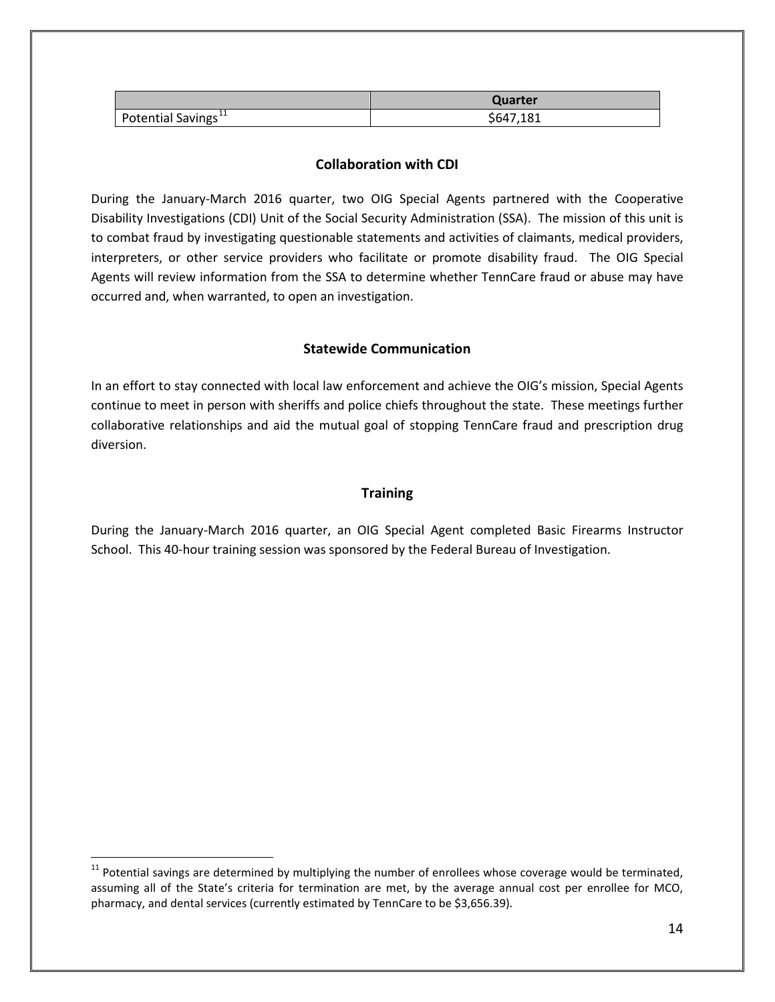|                                 | Quarter   |
|---------------------------------|-----------|
| Potential Savings <sup>11</sup> | \$647,181 |

#### **Collaboration with CDI**

During the January-March 2016 quarter, two OIG Special Agents partnered with the Cooperative Disability Investigations (CDI) Unit of the Social Security Administration (SSA). The mission of this unit is to combat fraud by investigating questionable statements and activities of claimants, medical providers, interpreters, or other service providers who facilitate or promote disability fraud. The OIG Special Agents will review information from the SSA to determine whether TennCare fraud or abuse may have occurred and, when warranted, to open an investigation.

#### **Statewide Communication**

In an effort to stay connected with local law enforcement and achieve the OIG's mission, Special Agents continue to meet in person with sheriffs and police chiefs throughout the state. These meetings further collaborative relationships and aid the mutual goal of stopping TennCare fraud and prescription drug diversion.

#### **Training**

During the January-March 2016 quarter, an OIG Special Agent completed Basic Firearms Instructor School. This 40-hour training session was sponsored by the Federal Bureau of Investigation.

<span id="page-13-0"></span> $11$  Potential savings are determined by multiplying the number of enrollees whose coverage would be terminated, assuming all of the State's criteria for termination are met, by the average annual cost per enrollee for MCO, pharmacy, and dental services (currently estimated by TennCare to be \$3,656.39).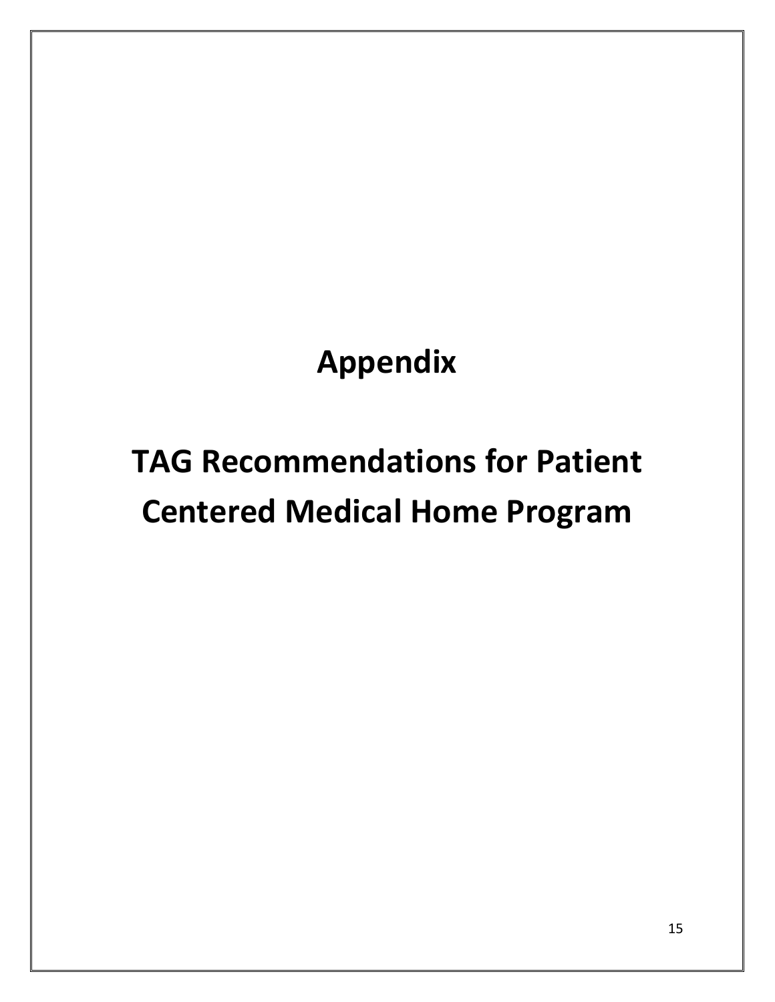**Appendix**

# **TAG Recommendations for Patient Centered Medical Home Program**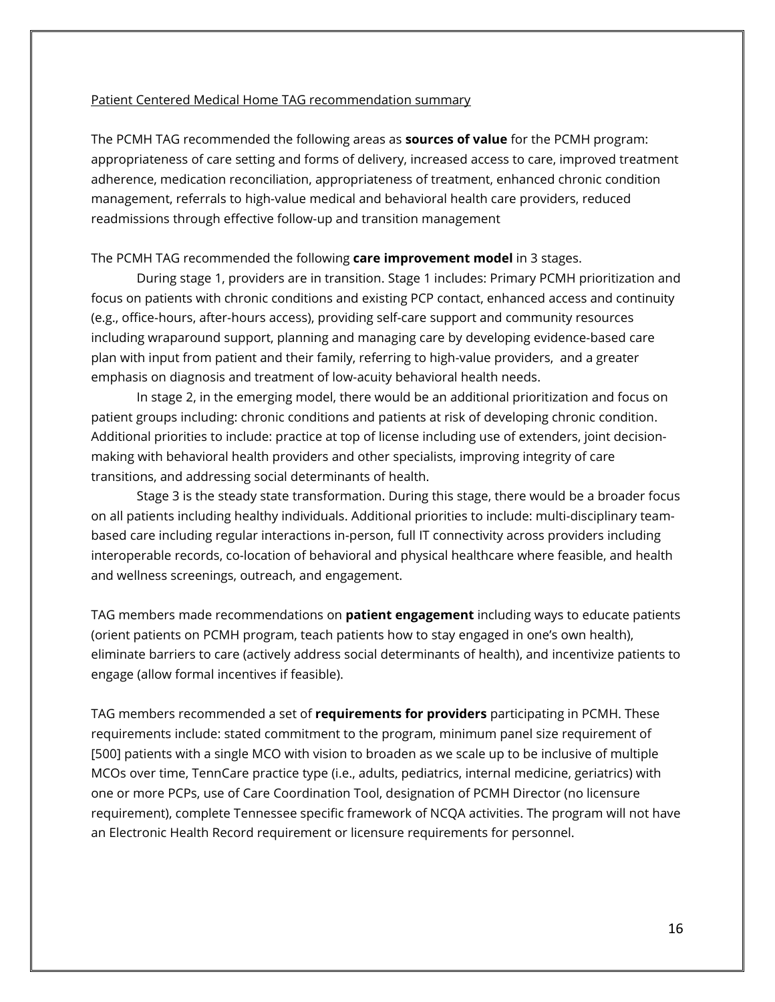#### Patient Centered Medical Home TAG recommendation summary

The PCMH TAG recommended the following areas as **sources of value** for the PCMH program: appropriateness of care setting and forms of delivery, increased access to care, improved treatment adherence, medication reconciliation, appropriateness of treatment, enhanced chronic condition management, referrals to high-value medical and behavioral health care providers, reduced readmissions through effective follow-up and transition management

#### The PCMH TAG recommended the following **care improvement model** in 3 stages.

During stage 1, providers are in transition. Stage 1 includes: Primary PCMH prioritization and focus on patients with chronic conditions and existing PCP contact, enhanced access and continuity (e.g., office-hours, after-hours access), providing self-care support and community resources including wraparound support, planning and managing care by developing evidence-based care plan with input from patient and their family, referring to high-value providers, and a greater emphasis on diagnosis and treatment of low-acuity behavioral health needs.

In stage 2, in the emerging model, there would be an additional prioritization and focus on patient groups including: chronic conditions and patients at risk of developing chronic condition. Additional priorities to include: practice at top of license including use of extenders, joint decisionmaking with behavioral health providers and other specialists, improving integrity of care transitions, and addressing social determinants of health.

Stage 3 is the steady state transformation. During this stage, there would be a broader focus on all patients including healthy individuals. Additional priorities to include: multi-disciplinary teambased care including regular interactions in-person, full IT connectivity across providers including interoperable records, co-location of behavioral and physical healthcare where feasible, and health and wellness screenings, outreach, and engagement.

TAG members made recommendations on **patient engagement** including ways to educate patients (orient patients on PCMH program, teach patients how to stay engaged in one's own health), eliminate barriers to care (actively address social determinants of health), and incentivize patients to engage (allow formal incentives if feasible).

TAG members recommended a set of **requirements for providers** participating in PCMH. These requirements include: stated commitment to the program, minimum panel size requirement of [500] patients with a single MCO with vision to broaden as we scale up to be inclusive of multiple MCOs over time, TennCare practice type (i.e., adults, pediatrics, internal medicine, geriatrics) with one or more PCPs, use of Care Coordination Tool, designation of PCMH Director (no licensure requirement), complete Tennessee specific framework of NCQA activities. The program will not have an Electronic Health Record requirement or licensure requirements for personnel.